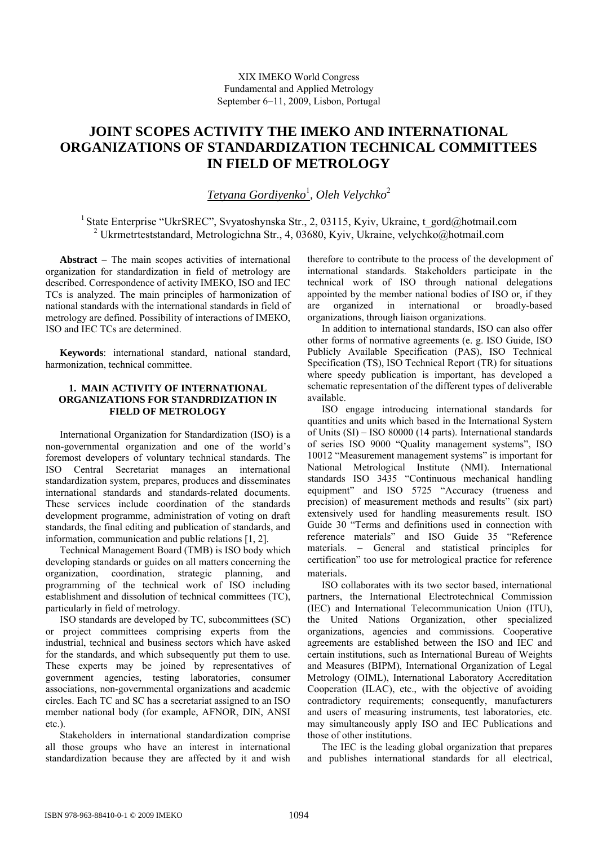# **JOINT SCOPES ACTIVITY THE IMEKO AND INTERNATIONAL ORGANIZATIONS OF STANDARDIZATION TECHNICAL COMMITTEES IN FIELD OF METROLOGY**

*Tetyana Gordiyenko*<sup>1</sup> *, Oleh Velychko*<sup>2</sup>

<sup>1</sup> State Enterprise "UkrSREC", Svyatoshynska Str., 2, 03115, Kyiv, Ukraine, t\_gord@hotmail.com 2 Ukrmetrteststandard, Metrologichna Str., 4, 03680, Kyiv, Ukraine, velychko@hotmail.com

**Abstract** − The main scopes activities of international organization for standardization in field of metrology are described. Correspondence of activity IMEKO, ISO and IEC TCs is analyzed. The main principles of harmonization of national standards with the international standards in field of metrology are defined. Possibility of interactions of ІМЕКО, ISO and IEC TCs are determined.

**Keywords**: international standard, national standard, harmonization, technical committee.

#### **1. MAIN ACTIVITY OF INTERNATIONAL ORGANIZATIONS FOR STANDRDIZATION IN FIELD OF METROLOGY**

International Organization for Standardization (ISO) is a non-governmental organization and one of the world's foremost developers of voluntary technical standards. The ISO Central Secretariat manages an international standardization system, prepares, produces and disseminates international standards and standards-related documents. These services include coordination of the standards development programme, administration of voting on draft standards, the final editing and publication of standards, and information, communication and public relations [1, 2].

Technical Management Board (TMB) is ISO body which developing standards or guides on all matters concerning the organization, coordination, strategic planning, and programming of the technical work of ISO including establishment and dissolution of technical committees (TC), particularly in field of metrology.

ISO standards are developed by TC, subcommittees (SC) or project committees comprising experts from the industrial, technical and business sectors which have asked for the standards, and which subsequently put them to use. These experts may be joined by representatives of government agencies, testing laboratories, consumer associations, non-governmental organizations and academic circles. Each TC and SC has a secretariat assigned to an ISO member national body (for example, AFNOR, DIN, ANSI etc.).

Stakeholders in international standardization comprise all those groups who have an interest in international standardization because they are affected by it and wish

therefore to contribute to the process of the development of international standards. Stakeholders participate in the technical work of ISO through national delegations appointed by the member national bodies of ISO or, if they are organized in international or broadly-based organizations, through liaison organizations.

In addition to international standards, ISO can also offer other forms of normative agreements (e. g. ISO Guide, ISO Publicly Available Specification (PAS), ISO Technical Specification (TS), ISO Technical Report (TR) for situations where speedy publication is important, has developed a schematic representation of the different types of deliverable available.

ISO engage introducing international standards for quantities and units which based in the International System of Units (SI) – ISO 80000 (14 parts). International standards of series ISO 9000 "Quality management systems", ISO 10012 "Measurement management systems" is important for National Metrological Institute (NMI). International standards ISO 3435 "Continuous mechanical handling equipment" and ISO 5725 "Accuracy (trueness and precision) of measurement methods and results" (six part) extensively used for handling measurements result. ISO Guide 30 "Terms and definitions used in connection with reference materials" and ISO Guide 35 "Reference materials. – General and statistical principles for certification" too use for metrological practice for reference

materials. ISO collaborates with its two sector based, international partners, the International Electrotechnical Commission (IEC) and International Telecommunication Union (ITU), the United Nations Organization, other specialized organizations, agencies and commissions. Cooperative agreements are established between the ISO and IEC and certain institutions, such as International Bureau of Weights and Measures (BIPM), International Organization of Legal Metrology (OIML), International Laboratory Accreditation Cooperation (ILAC), etc., with the objective of avoiding contradictory requirements; consequently, manufacturers and users of measuring instruments, test laboratories, etc. may simultaneously apply ISO and IEC Publications and those of other institutions.

The IEC is the leading global organization that prepares and publishes international standards for all electrical,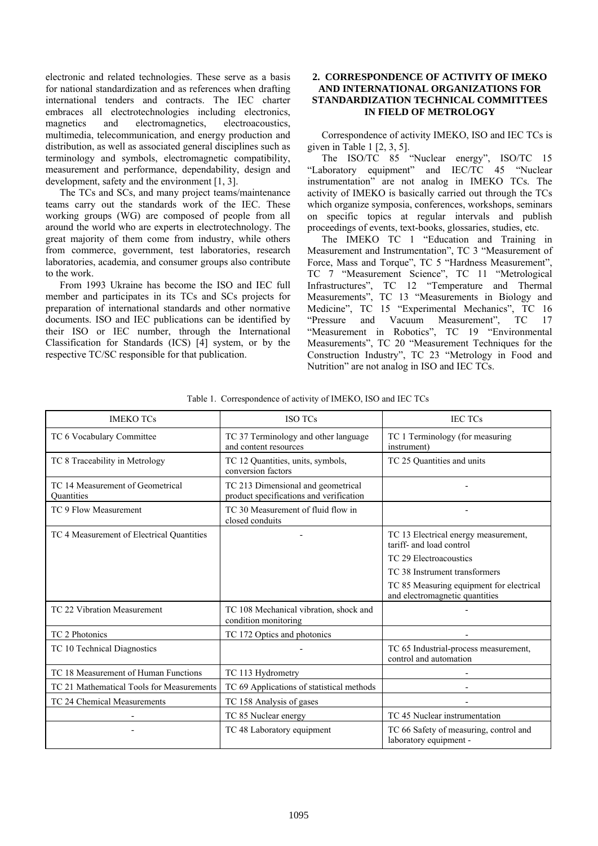electronic and related technologies. These serve as a basis for national standardization and as references when drafting international tenders and contracts. The IEC charter embraces all electrotechnologies including electronics, magnetics and electromagnetics, electroacoustics, multimedia, telecommunication, and energy production and distribution, as well as associated general disciplines such as terminology and symbols, electromagnetic compatibility, measurement and performance, dependability, design and development, safety and the environment [1, 3].

The TCs and SCs, and many project teams/maintenance teams carry out the standards work of the IEC. These working groups (WG) are composed of people from all around the world who are experts in electrotechnology. The great majority of them come from industry, while others from commerce, government, test laboratories, research laboratories, academia, and consumer groups also contribute to the work.

From 1993 Ukraine has become the ISO and IEC full member and participates in its TCs and SCs projects for preparation of international standards and other normative documents. ISO and IEC publications can be identified by their ISO or IEC number, through the International Classification for Standards (ICS) [4] system, or by the respective TC/SC responsible for that publication.

### **2. CORRESPONDENCE OF ACTIVITY OF IMEKO AND INTERNATIONAL ORGANIZATIONS FOR STANDARDIZATION TECHNICAL COMMITTEES IN FIELD OF METROLOGY**

Correspondence of activity IMEKO, ISO and IEC TCs is given in Table 1  $[2, 3, 5]$ .

The ISO/TC 85 "Nuclear energy", ISO/TC 15 "Laboratory equipment" and IEC/TC 45 "Nuclear instrumentation" are not analog in IMEKO TCs. The activity of IMEKO is basically carried out through the TCs which organize symposia, conferences, workshops, seminars on specific topics at regular intervals and publish proceedings of events, text-books, glossaries, studies, etc.

The IMEKO TC 1 "Education and Training in Measurement and Instrumentation", TC 3 "Measurement of Force, Mass and Torque", TC 5 "Hardness Measurement", TC 7 "Measurement Science", TC 11 "Metrological Infrastructures", TC 12 "Temperature and Thermal Measurements", TC 13 "Measurements in Biology and Medicine", TC 15 "Experimental Mechanics", TC 16 "Pressure and Vacuum Measurement", TC 17 "Measurement in Robotics", TC 19 "Environmental Measurements", TC 20 "Measurement Techniques for the Construction Industry", TC 23 "Metrology in Food and Nutrition" are not analog in ISO and IEC TCs.

| <b>IMEKO TCs</b>                               | <b>ISO TCs</b>                                                                | <b>IEC TCs</b>                                                             |  |
|------------------------------------------------|-------------------------------------------------------------------------------|----------------------------------------------------------------------------|--|
| TC 6 Vocabulary Committee                      | TC 37 Terminology and other language<br>and content resources                 | TC 1 Terminology (for measuring<br>instrument)                             |  |
| TC 8 Traceability in Metrology                 | TC 12 Quantities, units, symbols,<br>conversion factors                       | TC 25 Quantities and units                                                 |  |
| TC 14 Measurement of Geometrical<br>Ouantities | TC 213 Dimensional and geometrical<br>product specifications and verification |                                                                            |  |
| TC 9 Flow Measurement                          | TC 30 Measurement of fluid flow in<br>closed conduits                         |                                                                            |  |
| TC 4 Measurement of Electrical Quantities      |                                                                               | TC 13 Electrical energy measurement,<br>tariff- and load control           |  |
|                                                |                                                                               | TC 29 Electroacoustics                                                     |  |
|                                                |                                                                               | TC 38 Instrument transformers                                              |  |
|                                                |                                                                               | TC 85 Measuring equipment for electrical<br>and electromagnetic quantities |  |
| TC 22 Vibration Measurement                    | TC 108 Mechanical vibration, shock and<br>condition monitoring                |                                                                            |  |
| TC 2 Photonics                                 | TC 172 Optics and photonics                                                   |                                                                            |  |
| TC 10 Technical Diagnostics                    |                                                                               | TC 65 Industrial-process measurement,<br>control and automation            |  |
| TC 18 Measurement of Human Functions           | TC 113 Hydrometry                                                             |                                                                            |  |
| TC 21 Mathematical Tools for Measurements      | TC 69 Applications of statistical methods                                     |                                                                            |  |
| TC 24 Chemical Measurements                    | TC 158 Analysis of gases                                                      |                                                                            |  |
|                                                | TC 85 Nuclear energy                                                          | TC 45 Nuclear instrumentation                                              |  |
|                                                | TC 48 Laboratory equipment                                                    | TC 66 Safety of measuring, control and<br>laboratory equipment -           |  |

Table 1. Correspondence of activity of IMEKO, ISO and IEC TCs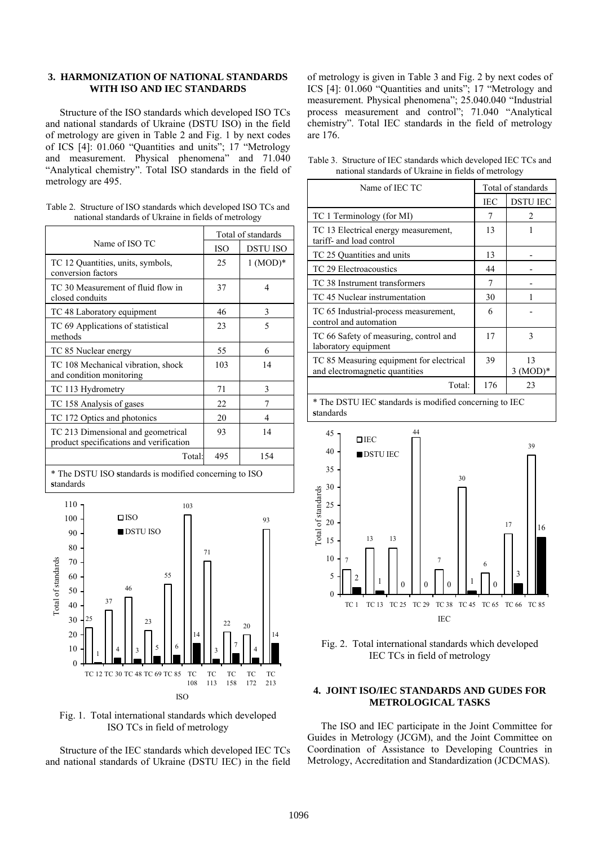#### **3. HARMONIZATION OF NATIONAL STANDARDS WITH ISO AND IEC STANDARDS**

Structure of the ISO standards which developed ISO TCs and national standards of Ukraine (DSTU ISO) in the field of metrology are given in Table 2 and Fig. 1 by next codes of ICS [4]: 01.060 "Quantities and units"; 17 "Metrology and measurement. Physical phenomena" and 71.040 "Analytical chemistry". Total ISO standards in the field of metrology are 495.

|                                                      |  | Table 2. Structure of ISO standards which developed ISO TCs and |
|------------------------------------------------------|--|-----------------------------------------------------------------|
| national standards of Ukraine in fields of metrology |  |                                                                 |

|                                                                               | Total of standards |            |
|-------------------------------------------------------------------------------|--------------------|------------|
| Name of ISO TC                                                                | <b>ISO</b>         | DSTU ISO   |
| TC 12 Quantities, units, symbols,<br>conversion factors                       | 25                 | $1 (MOD)*$ |
| TC 30 Measurement of fluid flow in<br>closed conduits                         | 37                 | 4          |
| TC 48 Laboratory equipment                                                    | 46                 | 3          |
| TC 69 Applications of statistical<br>methods                                  | 23                 | 5          |
| TC 85 Nuclear energy                                                          | 55                 | 6          |
| TC 108 Mechanical vibration, shock<br>and condition monitoring                | 103                | 14         |
| TC 113 Hydrometry                                                             | 71                 | 3          |
| TC 158 Analysis of gases                                                      | 22                 |            |
| TC 172 Optics and photonics                                                   | 20                 | 4          |
| TC 213 Dimensional and geometrical<br>product specifications and verification | 93                 | 14         |
| Total:                                                                        | 495                | 154        |







Structure of the IEC standards which developed IEC TCs and national standards of Ukraine (DSTU IEC) in the field of metrology is given in Table 3 and Fig. 2 by next codes of ICS [4]: 01.060 "Quantities and units"; 17 "Metrology and measurement. Physical phenomena"; 25.040.040 "Industrial process measurement and control"; 71.040 "Analytical chemistry". Total IEC standards in the field of metrology are 176.

Table 3. Structure of IEC standards which developed IEC TCs and national standards of Ukraine in fields of metrology

| Name of IEC TC                                                                                                                                                                                                                                                                                                | Total of standards |                  |
|---------------------------------------------------------------------------------------------------------------------------------------------------------------------------------------------------------------------------------------------------------------------------------------------------------------|--------------------|------------------|
|                                                                                                                                                                                                                                                                                                               | IEC                | <b>DSTU IEC</b>  |
| TC 1 Terminology (for MI)                                                                                                                                                                                                                                                                                     | 7                  | $\mathfrak{D}$   |
| TC 13 Electrical energy measurement,<br>tariff- and load control                                                                                                                                                                                                                                              | 13                 |                  |
| TC 25 Quantities and units                                                                                                                                                                                                                                                                                    | 13                 |                  |
| TC 29 Electroacoustics                                                                                                                                                                                                                                                                                        | 44                 |                  |
| TC 38 Instrument transformers                                                                                                                                                                                                                                                                                 | 7                  |                  |
| TC 45 Nuclear instrumentation                                                                                                                                                                                                                                                                                 | 30                 |                  |
| TC 65 Industrial-process measurement,<br>control and automation                                                                                                                                                                                                                                               | 6                  |                  |
| TC 66 Safety of measuring, control and<br>laboratory equipment                                                                                                                                                                                                                                                | 17                 | 3                |
| TC 85 Measuring equipment for electrical<br>and electromagnetic quantities                                                                                                                                                                                                                                    | 39                 | 13<br>$3 (MOD)*$ |
| Total:                                                                                                                                                                                                                                                                                                        | 176                | 23               |
| $\mathcal{L}$ and the contract of $\mathcal{L}$ and $\mathcal{L}$ and $\mathcal{L}$ and $\mathcal{L}$ and $\mathcal{L}$ and $\mathcal{L}$ and $\mathcal{L}$ and $\mathcal{L}$ and $\mathcal{L}$ and $\mathcal{L}$ and $\mathcal{L}$ and $\mathcal{L}$ and $\mathcal{L}$ and $\mathcal{L}$ and $\mathcal{L}$ a |                    | $\sim$ $\sim$    |

\* The DSTU IEC **s**tandards is modified concerning to IEC **s**tandards





#### **4. JOINT ISO/IEC STANDARDS AND GUDES FOR METROLOGICAL TASKS**

The ISO and IEC participate in the Joint Committee for Guides in Metrology (JCGM), and the Joint Committee on Coordination of Assistance to Developing Countries in Metrology, Accreditation and Standardization (JCDCMAS).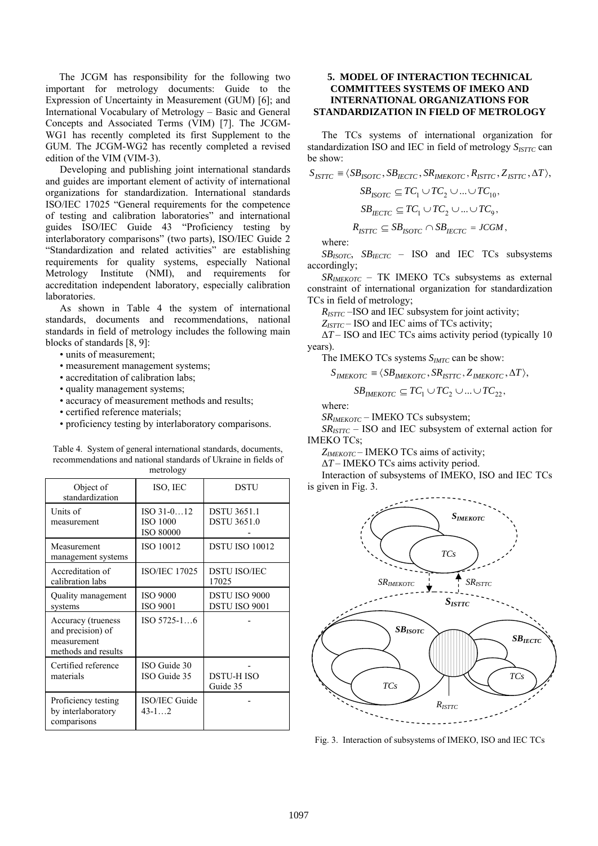The JCGM has responsibility for the following two important for metrology documents: Guide to the Expression of Uncertainty in Measurement (GUM) [6]; and International Vocabulary of Metrology – Basic and General Concepts and Associated Terms (VIM) [7]. The JCGM-WG1 has recently completed its first Supplement to the GUM. The JCGM-WG2 has recently completed a revised edition of the VIM (VIM-3).

Developing and publishing joint international standards and guides are important element of activity of international organizations for standardization. International standards ISO/IEC 17025 "General requirements for the competence of testing and calibration laboratories" and international guides ISO/IEC Guide 43 "Proficiency testing by interlaboratory comparisons" (two parts), ISO/IEC Guide 2 "Standardization and related activities" are establishing requirements for quality systems, especially National Metrology Institute (NMI), and requirements for accreditation independent laboratory, especially calibration laboratories.

As shown in Table 4 the system of international standards, documents and recommendations, national standards in field of metrology includes the following main blocks of standards [8, 9]:

- units of measurement;
- measurement management systems;
- accreditation of calibration labs;
- quality management systems;
- accuracy of measurement methods and results;
- certified reference materials;
- proficiency testing by interlaboratory comparisons.

| metrology                                                                     |                                                   |                                          |  |
|-------------------------------------------------------------------------------|---------------------------------------------------|------------------------------------------|--|
| Object of<br>standardization                                                  | ISO, IEC                                          | <b>DSTU</b>                              |  |
| Units of<br>measurement                                                       | ISO 31-012<br><b>ISO 1000</b><br><b>ISO 80000</b> | <b>DSTU 3651.1</b><br><b>DSTU 3651.0</b> |  |
| Measurement<br>management systems                                             | ISO 10012                                         | <b>DSTU ISO 10012</b>                    |  |
| Accreditation of<br>calibration labs                                          | <b>ISO/IEC 17025</b>                              | <b>DSTU ISO/IEC</b><br>17025             |  |
| Quality management<br>systems                                                 | <b>ISO 9000</b><br><b>ISO 9001</b>                | <b>DSTU ISO 9000</b><br>DSTU ISO 9001    |  |
| Accuracy (trueness<br>and precision) of<br>measurement<br>methods and results | ISO 5725-16                                       |                                          |  |
| Certified reference<br>materials                                              | ISO Guide 30<br>ISO Guide 35                      | <b>DSTU-HISO</b><br>Guide 35             |  |
| Proficiency testing<br>by interlaboratory<br>comparisons                      | ISO/IEC Guide<br>$43 - 1 \ldots 2$                |                                          |  |

# Table 4. System of general international standards, documents, recommendations and national standards of Ukraine in fields of

## **5. MODEL OF INTERACTION TECHNICAL COMMITTEES SYSTEMS OF IMEKO AND INTERNATIONAL ORGANIZATIONS FOR STANDARDIZATION IN FIELD OF METROLOGY**

The TCs systems of international organization for standardization ISO and IEC in field of metrology *S<sub>ISTTC</sub>* can be show:

$$
S_{\text{ISTTC}} \equiv \langle SB_{\text{ISOTC}}, SB_{\text{IECTC}}, SR_{\text{IMEKOTC}}, R_{\text{ISTTC}}, Z_{\text{ISTTC}}, \Delta T \rangle,
$$
  

$$
SB_{\text{ISOTC}} \subseteq TC_1 \cup TC_2 \cup ... \cup TC_{10},
$$
  

$$
SB_{\text{IECTC}} \subseteq TC_1 \cup TC_2 \cup ... \cup TC_9,
$$

$$
R_{ISTTC} \subseteq SB_{ISOTC} \cap SB_{IECTC} = JCGM,
$$

where:

*SBISOTC*, *SBIECTC* – ISO and IEC TCs subsystems accordingly;

*SRIMEKOTC* – ТК ІМЕКО TCs subsystems as external constraint of international organization for standardization TCs in field of metrology;

*R<sub>ISTTC</sub>* –ISO and IEC subsystem for joint activity;

Z<sub>ISTTC</sub> – ISO and IEC aims of TCs activity;

Δ*T* – ISO and IEC TCs aims activity period (typically 10 years).

The IMEKO TCs systems  $S_{IMTC}$  can be show:

$$
S_{IMEKOTC} \equiv \langle SB_{IMEKOTC}, SR_{ISTTC}, Z_{IMEKOTC}, \Delta T \rangle,
$$

$$
SB_{\text{IMEKOTC}} \subseteq TC_1 \cup TC_2 \cup ... \cup TC_{22},
$$

where:

*SRIMEKOTC* – ІМЕКО TCs subsystem;

*SRISTTC* – ISO and IEC subsystem of external action for IMEKO TCs;

*ZIMEKOTC* – IMEKO TCs aims of activity;

Δ*T* – IMEKO TCs aims activity period.

Interaction of subsystems of ІМЕКО, ISO and IEC TCs is given in Fig. 3.



Fig. 3. Interaction of subsystems of ІМЕКО, ISO and IEC TCs